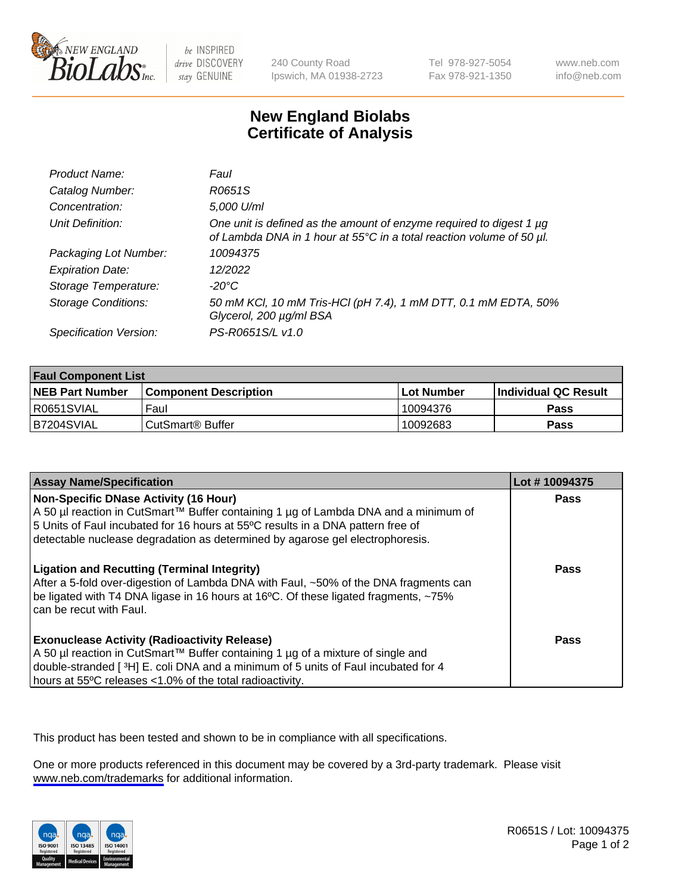

be INSPIRED drive DISCOVERY stay GENUINE

240 County Road Ipswich, MA 01938-2723 Tel 978-927-5054 Fax 978-921-1350

www.neb.com info@neb.com

## **New England Biolabs Certificate of Analysis**

| Product Name:              | Faul                                                                                                                                        |
|----------------------------|---------------------------------------------------------------------------------------------------------------------------------------------|
| Catalog Number:            | R0651S                                                                                                                                      |
| Concentration:             | 5,000 U/ml                                                                                                                                  |
| Unit Definition:           | One unit is defined as the amount of enzyme required to digest 1 µg<br>of Lambda DNA in 1 hour at 55°C in a total reaction volume of 50 µl. |
| Packaging Lot Number:      | 10094375                                                                                                                                    |
| <b>Expiration Date:</b>    | 12/2022                                                                                                                                     |
| Storage Temperature:       | -20°C                                                                                                                                       |
| <b>Storage Conditions:</b> | 50 mM KCl, 10 mM Tris-HCl (pH 7.4), 1 mM DTT, 0.1 mM EDTA, 50%<br>Glycerol, 200 µg/ml BSA                                                   |
| Specification Version:     | PS-R0651S/L v1.0                                                                                                                            |

| <b>Faul Component List</b> |                         |             |                             |  |
|----------------------------|-------------------------|-------------|-----------------------------|--|
| <b>NEB Part Number</b>     | l Component Description | ⊺Lot Number | <b>Individual QC Result</b> |  |
| R0651SVIAL                 | Faul                    | 10094376    | Pass                        |  |
| IB7204SVIAL                | ⊧CutSmart® Buffer       | 10092683    | Pass                        |  |

| <b>Assay Name/Specification</b>                                                                                                                                                                                                                                                                    | Lot #10094375 |
|----------------------------------------------------------------------------------------------------------------------------------------------------------------------------------------------------------------------------------------------------------------------------------------------------|---------------|
| Non-Specific DNase Activity (16 Hour)<br>  A 50 µl reaction in CutSmart™ Buffer containing 1 µg of Lambda DNA and a minimum of<br>5 Units of Faul incubated for 16 hours at 55°C results in a DNA pattern free of<br>detectable nuclease degradation as determined by agarose gel electrophoresis. | Pass          |
| <b>Ligation and Recutting (Terminal Integrity)</b><br>After a 5-fold over-digestion of Lambda DNA with Faul, ~50% of the DNA fragments can<br>be ligated with T4 DNA ligase in 16 hours at 16°C. Of these ligated fragments, ~75%<br>I can be recut with Faul.                                     | Pass          |
| <b>Exonuclease Activity (Radioactivity Release)</b><br>A 50 µl reaction in CutSmart™ Buffer containing 1 µg of a mixture of single and<br>double-stranded [3H] E. coli DNA and a minimum of 5 units of Faul incubated for 4<br>hours at 55°C releases <1.0% of the total radioactivity.            | Pass          |

This product has been tested and shown to be in compliance with all specifications.

One or more products referenced in this document may be covered by a 3rd-party trademark. Please visit <www.neb.com/trademarks>for additional information.